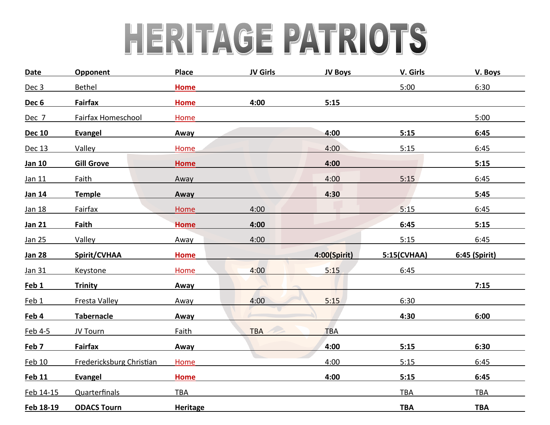# HERITAGE PATRIOTS

| <b>Date</b>      | Opponent                 | <b>Place</b>    | <b>JV Girls</b> | <b>JV Boys</b> | V. Girls    | V. Boys       |
|------------------|--------------------------|-----------------|-----------------|----------------|-------------|---------------|
| Dec 3            | <b>Bethel</b>            | <b>Home</b>     |                 |                | 5:00        | 6:30          |
| Dec <sub>6</sub> | <b>Fairfax</b>           | <b>Home</b>     | 4:00            | 5:15           |             |               |
| Dec 7            | Fairfax Homeschool       | Home            |                 |                |             | 5:00          |
| <b>Dec 10</b>    | <b>Evangel</b>           | Away            |                 | 4:00           | 5:15        | 6:45          |
| Dec 13           | Valley                   | Home            |                 | 4:00           | 5:15        | 6:45          |
| Jan 10           | <b>Gill Grove</b>        | <b>Home</b>     |                 | 4:00           |             | 5:15          |
| Jan 11           | <b>Faith</b>             | Away            |                 | 4:00           | 5:15        | 6:45          |
| Jan 14           | <b>Temple</b>            | Away            |                 | 4:30           |             | 5:45          |
| Jan 18           | <b>Fairfax</b>           | Home            | 4:00            |                | 5:15        | 6:45          |
| <b>Jan 21</b>    | <b>Faith</b>             | <b>Home</b>     | 4:00            |                | 6:45        | 5:15          |
| Jan 25           | Valley                   | Away            | 4:00            |                | 5:15        | 6:45          |
| <b>Jan 28</b>    | Spirit/CVHAA             | Home            |                 | 4:00(Spirit)   | 5:15(CVHAA) | 6:45 (Spirit) |
| Jan 31           | <b>Keystone</b>          | Home            | 4:00            | 5:15           | 6:45        |               |
| Feb <sub>1</sub> | <b>Trinity</b>           | Away            |                 |                |             | 7:15          |
| Feb 1            | <b>Fresta Valley</b>     | Away            | 4:00            | 5:15           | 6:30        |               |
| Feb 4            | Tabernacle               | Away            |                 |                | 4:30        | 6:00          |
| Feb 4-5          | JV Tourn                 | Faith           | <b>TBA</b>      | <b>TBA</b>     |             |               |
| Feb 7            | <b>Fairfax</b>           | Away            |                 | 4:00           | 5:15        | 6:30          |
| <b>Feb 10</b>    | Fredericksburg Christian | Home            |                 | 4:00           | 5:15        | 6:45          |
| <b>Feb 11</b>    | Evangel                  | <b>Home</b>     |                 | 4:00           | 5:15        | 6:45          |
| Feb 14-15        | <b>Quarterfinals</b>     | <b>TBA</b>      |                 |                | TBA         | <b>TBA</b>    |
| Feb 18-19        | <b>ODACS Tourn</b>       | <b>Heritage</b> |                 |                | <b>TBA</b>  | <b>TBA</b>    |